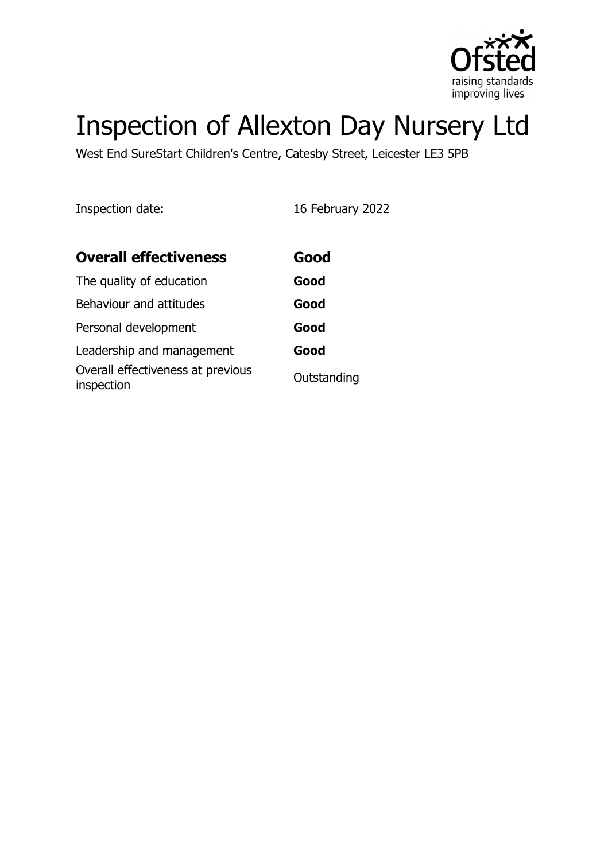

# Inspection of Allexton Day Nursery Ltd

West End SureStart Children's Centre, Catesby Street, Leicester LE3 5PB

Inspection date: 16 February 2022

| <b>Overall effectiveness</b>                    | Good        |
|-------------------------------------------------|-------------|
| The quality of education                        | Good        |
| Behaviour and attitudes                         | Good        |
| Personal development                            | Good        |
| Leadership and management                       | Good        |
| Overall effectiveness at previous<br>inspection | Outstanding |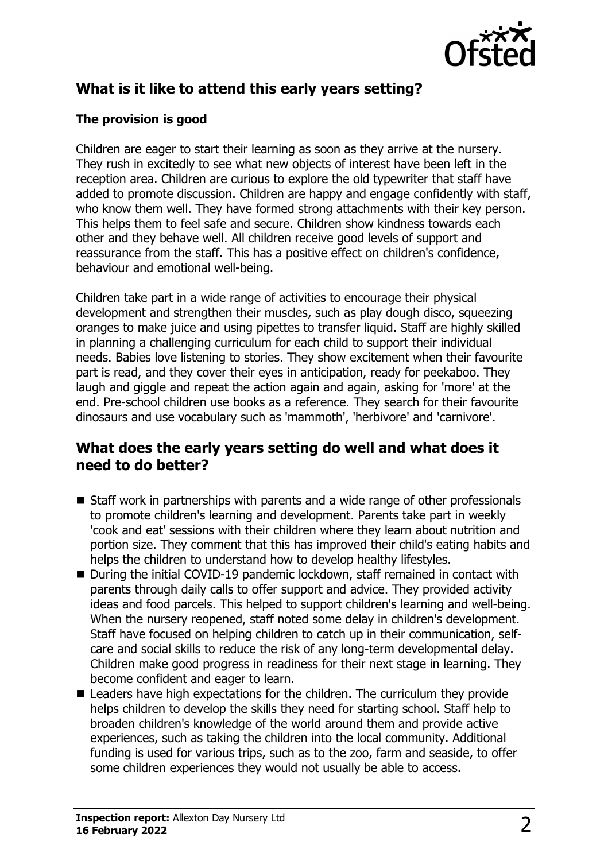

# **What is it like to attend this early years setting?**

#### **The provision is good**

Children are eager to start their learning as soon as they arrive at the nursery. They rush in excitedly to see what new objects of interest have been left in the reception area. Children are curious to explore the old typewriter that staff have added to promote discussion. Children are happy and engage confidently with staff, who know them well. They have formed strong attachments with their key person. This helps them to feel safe and secure. Children show kindness towards each other and they behave well. All children receive good levels of support and reassurance from the staff. This has a positive effect on children's confidence, behaviour and emotional well-being.

Children take part in a wide range of activities to encourage their physical development and strengthen their muscles, such as play dough disco, squeezing oranges to make juice and using pipettes to transfer liquid. Staff are highly skilled in planning a challenging curriculum for each child to support their individual needs. Babies love listening to stories. They show excitement when their favourite part is read, and they cover their eyes in anticipation, ready for peekaboo. They laugh and giggle and repeat the action again and again, asking for 'more' at the end. Pre-school children use books as a reference. They search for their favourite dinosaurs and use vocabulary such as 'mammoth', 'herbivore' and 'carnivore'.

#### **What does the early years setting do well and what does it need to do better?**

- $\blacksquare$  Staff work in partnerships with parents and a wide range of other professionals to promote children's learning and development. Parents take part in weekly 'cook and eat' sessions with their children where they learn about nutrition and portion size. They comment that this has improved their child's eating habits and helps the children to understand how to develop healthy lifestyles.
- During the initial COVID-19 pandemic lockdown, staff remained in contact with parents through daily calls to offer support and advice. They provided activity ideas and food parcels. This helped to support children's learning and well-being. When the nursery reopened, staff noted some delay in children's development. Staff have focused on helping children to catch up in their communication, selfcare and social skills to reduce the risk of any long-term developmental delay. Children make good progress in readiness for their next stage in learning. They become confident and eager to learn.
- $\blacksquare$  Leaders have high expectations for the children. The curriculum they provide helps children to develop the skills they need for starting school. Staff help to broaden children's knowledge of the world around them and provide active experiences, such as taking the children into the local community. Additional funding is used for various trips, such as to the zoo, farm and seaside, to offer some children experiences they would not usually be able to access.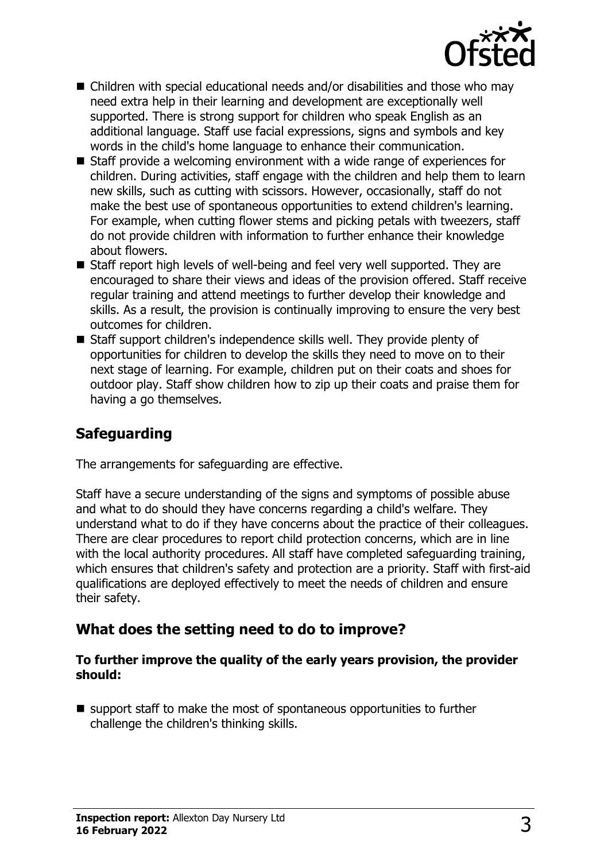

- $\blacksquare$  Children with special educational needs and/or disabilities and those who may need extra help in their learning and development are exceptionally well supported. There is strong support for children who speak English as an additional language. Staff use facial expressions, signs and symbols and key words in the child's home language to enhance their communication.
- $\blacksquare$  Staff provide a welcoming environment with a wide range of experiences for children. During activities, staff engage with the children and help them to learn new skills, such as cutting with scissors. However, occasionally, staff do not make the best use of spontaneous opportunities to extend children's learning. For example, when cutting flower stems and picking petals with tweezers, staff do not provide children with information to further enhance their knowledge about flowers.
- $\blacksquare$  Staff report high levels of well-being and feel very well supported. They are encouraged to share their views and ideas of the provision offered. Staff receive regular training and attend meetings to further develop their knowledge and skills. As a result, the provision is continually improving to ensure the very best outcomes for children.
- Staff support children's independence skills well. They provide plenty of opportunities for children to develop the skills they need to move on to their next stage of learning. For example, children put on their coats and shoes for outdoor play. Staff show children how to zip up their coats and praise them for having a go themselves.

## **Safeguarding**

The arrangements for safeguarding are effective.

Staff have a secure understanding of the signs and symptoms of possible abuse and what to do should they have concerns regarding a child's welfare. They understand what to do if they have concerns about the practice of their colleagues. There are clear procedures to report child protection concerns, which are in line with the local authority procedures. All staff have completed safeguarding training, which ensures that children's safety and protection are a priority. Staff with first-aid qualifications are deployed effectively to meet the needs of children and ensure their safety.

#### **What does the setting need to do to improve?**

#### **To further improve the quality of the early years provision, the provider should:**

 $\blacksquare$  support staff to make the most of spontaneous opportunities to further challenge the children's thinking skills.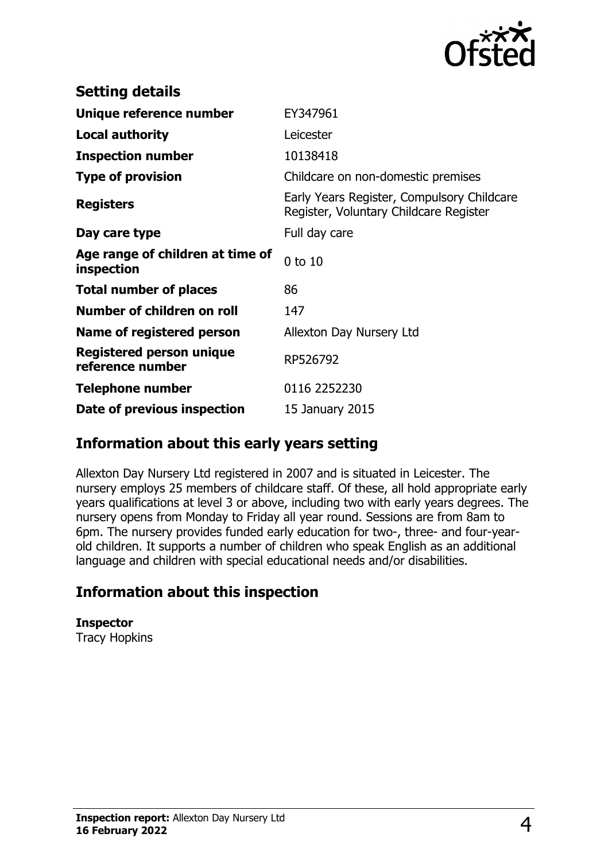

| <b>Setting details</b>                         |                                                                                      |
|------------------------------------------------|--------------------------------------------------------------------------------------|
| Unique reference number                        | EY347961                                                                             |
| <b>Local authority</b>                         | Leicester                                                                            |
| <b>Inspection number</b>                       | 10138418                                                                             |
| <b>Type of provision</b>                       | Childcare on non-domestic premises                                                   |
| <b>Registers</b>                               | Early Years Register, Compulsory Childcare<br>Register, Voluntary Childcare Register |
| Day care type                                  | Full day care                                                                        |
| Age range of children at time of<br>inspection | $0$ to $10$                                                                          |
| <b>Total number of places</b>                  | 86                                                                                   |
| Number of children on roll                     | 147                                                                                  |
| Name of registered person                      | Allexton Day Nursery Ltd                                                             |
| Registered person unique<br>reference number   | RP526792                                                                             |
| <b>Telephone number</b>                        | 0116 2252230                                                                         |
| Date of previous inspection                    | 15 January 2015                                                                      |

#### **Information about this early years setting**

Allexton Day Nursery Ltd registered in 2007 and is situated in Leicester. The nursery employs 25 members of childcare staff. Of these, all hold appropriate early years qualifications at level 3 or above, including two with early years degrees. The nursery opens from Monday to Friday all year round. Sessions are from 8am to 6pm. The nursery provides funded early education for two-, three- and four-yearold children. It supports a number of children who speak English as an additional language and children with special educational needs and/or disabilities.

## **Information about this inspection**

**Inspector** Tracy Hopkins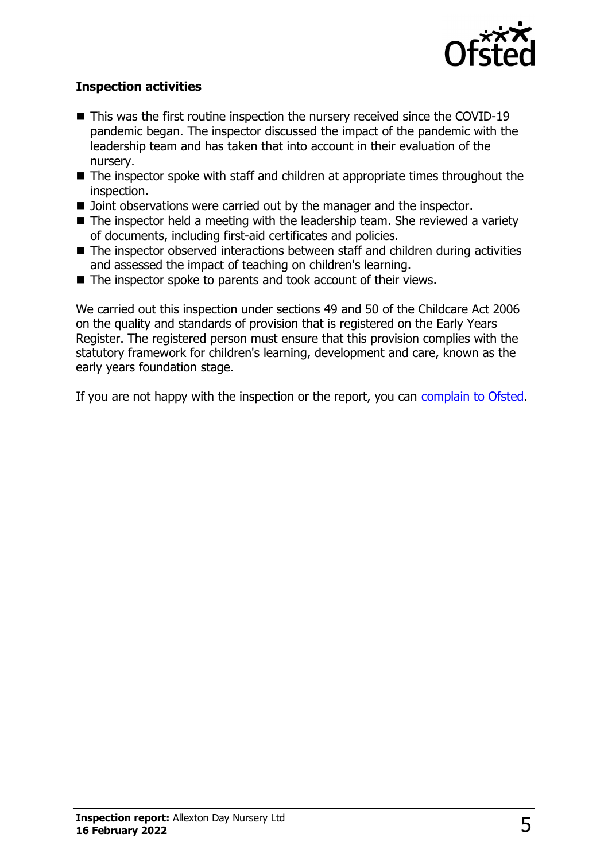

#### **Inspection activities**

- $\blacksquare$  This was the first routine inspection the nursery received since the COVID-19 pandemic began. The inspector discussed the impact of the pandemic with the leadership team and has taken that into account in their evaluation of the nursery.
- $\blacksquare$  The inspector spoke with staff and children at appropriate times throughout the inspection.
- $\blacksquare$  Joint observations were carried out by the manager and the inspector.
- $\blacksquare$  The inspector held a meeting with the leadership team. She reviewed a variety of documents, including first-aid certificates and policies.
- $\blacksquare$  The inspector observed interactions between staff and children during activities and assessed the impact of teaching on children's learning.
- $\blacksquare$  The inspector spoke to parents and took account of their views.

We carried out this inspection under sections 49 and 50 of the Childcare Act 2006 on the quality and standards of provision that is registered on the Early Years Register. The registered person must ensure that this provision complies with the statutory framework for children's learning, development and care, known as the early years foundation stage.

If you are not happy with the inspection or the report, you can [complain to Ofsted](http://www.gov.uk/complain-ofsted-report).